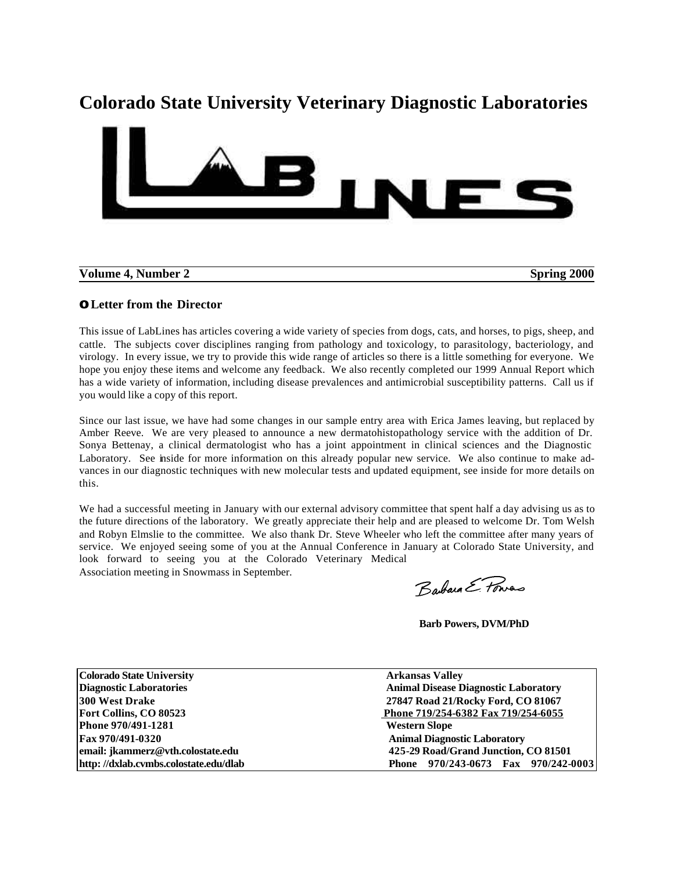# **Colorado State University Veterinary Diagnostic Laboratories**



**Volume 4, Number 2** Spring 2000

# **OLetter from the Director**

This issue of LabLines has articles covering a wide variety of species from dogs, cats, and horses, to pigs, sheep, and cattle. The subjects cover disciplines ranging from pathology and toxicology, to parasitology, bacteriology, and virology. In every issue, we try to provide this wide range of articles so there is a little something for everyone. We hope you enjoy these items and welcome any feedback. We also recently completed our 1999 Annual Report which has a wide variety of information, including disease prevalences and antimicrobial susceptibility patterns. Call us if you would like a copy of this report.

Since our last issue, we have had some changes in our sample entry area with Erica James leaving, but replaced by Amber Reeve. We are very pleased to announce a new dermatohistopathology service with the addition of Dr. Sonya Bettenay, a clinical dermatologist who has a joint appointment in clinical sciences and the Diagnostic Laboratory. See inside for more information on this already popular new service. We also continue to make advances in our diagnostic techniques with new molecular tests and updated equipment, see inside for more details on this.

We had a successful meeting in January with our external advisory committee that spent half a day advising us as to the future directions of the laboratory. We greatly appreciate their help and are pleased to welcome Dr. Tom Welsh and Robyn Elmslie to the committee. We also thank Dr. Steve Wheeler who left the committee after many years of service. We enjoyed seeing some of you at the Annual Conference in January at Colorado State University, and look forward to seeing you at the Colorado Veterinary Medical Association meeting in Snowmass in September.

Barbara E. Fonras

 **Barb Powers, DVM/PhD**

| <b>Colorado State University</b>      | <b>Arkansas Valley</b>                      |  |  |
|---------------------------------------|---------------------------------------------|--|--|
| <b>Diagnostic Laboratories</b>        | <b>Animal Disease Diagnostic Laboratory</b> |  |  |
| <b>300 West Drake</b>                 | 27847 Road 21/Rocky Ford, CO 81067          |  |  |
| Fort Collins, CO 80523                | Phone 719/254-6382 Fax 719/254-6055         |  |  |
| Phone 970/491-1281                    | <b>Western Slope</b>                        |  |  |
| Fax 970/491-0320                      | <b>Animal Diagnostic Laboratory</b>         |  |  |
| email: jkammerz@vth.colostate.edu     | 425-29 Road/Grand Junction, CO 81501        |  |  |
| http://dxlab.cvmbs.colostate.edu/dlab | Phone 970/243-0673 Fax 970/242-0003         |  |  |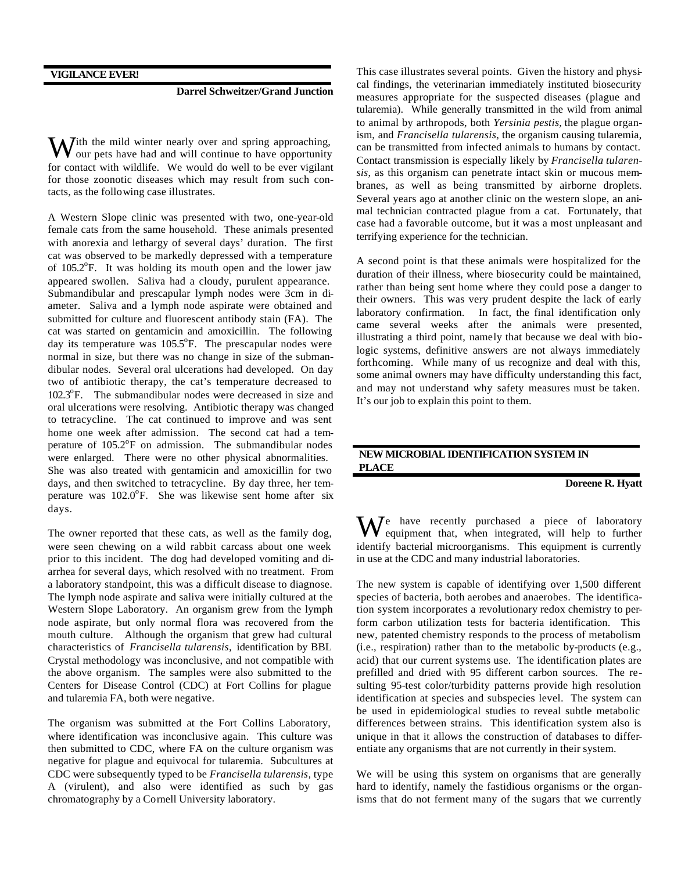# **Darrel Schweitzer/Grand Junction**

ith the mild winter nearly over and spring approaching, With the mild winter nearly over and spring approaching, our pets have had and will continue to have opportunity for contact with wildlife. We would do well to be ever vigilant for those zoonotic diseases which may result from such contacts, as the following case illustrates.

A Western Slope clinic was presented with two, one-year-old female cats from the same household. These animals presented with anorexia and lethargy of several days' duration. The first cat was observed to be markedly depressed with a temperature of  $105.2^{\circ}$ F. It was holding its mouth open and the lower jaw appeared swollen. Saliva had a cloudy, purulent appearance. Submandibular and prescapular lymph nodes were 3cm in diameter. Saliva and a lymph node aspirate were obtained and submitted for culture and fluorescent antibody stain (FA). The cat was started on gentamicin and amoxicillin. The following day its temperature was  $105.5^{\circ}$ F. The prescapular nodes were normal in size, but there was no change in size of the submandibular nodes. Several oral ulcerations had developed. On day two of antibiotic therapy, the cat's temperature decreased to 102.3°F. The submandibular nodes were decreased in size and oral ulcerations were resolving. Antibiotic therapy was changed to tetracycline. The cat continued to improve and was sent home one week after admission. The second cat had a temperature of  $105.2^{\circ}$ F on admission. The submandibular nodes were enlarged. There were no other physical abnormalities. She was also treated with gentamicin and amoxicillin for two days, and then switched to tetracycline. By day three, her temperature was 102.0°F. She was likewise sent home after six days.

The owner reported that these cats, as well as the family dog, were seen chewing on a wild rabbit carcass about one week prior to this incident. The dog had developed vomiting and diarrhea for several days, which resolved with no treatment. From a laboratory standpoint, this was a difficult disease to diagnose. The lymph node aspirate and saliva were initially cultured at the Western Slope Laboratory. An organism grew from the lymph node aspirate, but only normal flora was recovered from the mouth culture. Although the organism that grew had cultural characteristics of *Francisella tularensis,* identification by BBL Crystal methodology was inconclusive, and not compatible with the above organism. The samples were also submitted to the Centers for Disease Control (CDC) at Fort Collins for plague and tularemia FA, both were negative.

The organism was submitted at the Fort Collins Laboratory, where identification was inconclusive again. This culture was then submitted to CDC, where FA on the culture organism was negative for plague and equivocal for tularemia. Subcultures at CDC were subsequently typed to be *Francisella tularensis,* type A (virulent), and also were identified as such by gas chromatography by a Cornell University laboratory.

This case illustrates several points. Given the history and physical findings, the veterinarian immediately instituted biosecurity measures appropriate for the suspected diseases (plague and tularemia). While generally transmitted in the wild from animal to animal by arthropods, both *Yersinia pestis,* the plague organism, and *Francisella tularensis,* the organism causing tularemia, can be transmitted from infected animals to humans by contact. Contact transmission is especially likely by *Francisella tularensis*, as this organism can penetrate intact skin or mucous membranes, as well as being transmitted by airborne droplets. Several years ago at another clinic on the western slope, an animal technician contracted plague from a cat. Fortunately, that case had a favorable outcome, but it was a most unpleasant and terrifying experience for the technician.

A second point is that these animals were hospitalized for the duration of their illness, where biosecurity could be maintained, rather than being sent home where they could pose a danger to their owners. This was very prudent despite the lack of early laboratory confirmation. In fact, the final identification only came several weeks after the animals were presented, illustrating a third point, namely that because we deal with biologic systems, definitive answers are not always immediately forthcoming. While many of us recognize and deal with this, some animal owners may have difficulty understanding this fact, and may not understand why safety measures must be taken. It's our job to explain this point to them.

#### **NEW MICROBIAL IDENTIFICATION SYSTEM IN PLACE**

 **Doreene R. Hyatt**

e have recently purchased a piece of laboratory We have recently purchased a piece of laboratory<br>equipment that, when integrated, will help to further identify bacterial microorganisms. This equipment is currently in use at the CDC and many industrial laboratories.

The new system is capable of identifying over 1,500 different species of bacteria, both aerobes and anaerobes. The identification system incorporates a revolutionary redox chemistry to perform carbon utilization tests for bacteria identification. This new, patented chemistry responds to the process of metabolism (i.e., respiration) rather than to the metabolic by-products (e.g., acid) that our current systems use. The identification plates are prefilled and dried with 95 different carbon sources. The resulting 95-test color/turbidity patterns provide high resolution identification at species and subspecies level. The system can be used in epidemiological studies to reveal subtle metabolic differences between strains. This identification system also is unique in that it allows the construction of databases to differentiate any organisms that are not currently in their system.

We will be using this system on organisms that are generally hard to identify, namely the fastidious organisms or the organisms that do not ferment many of the sugars that we currently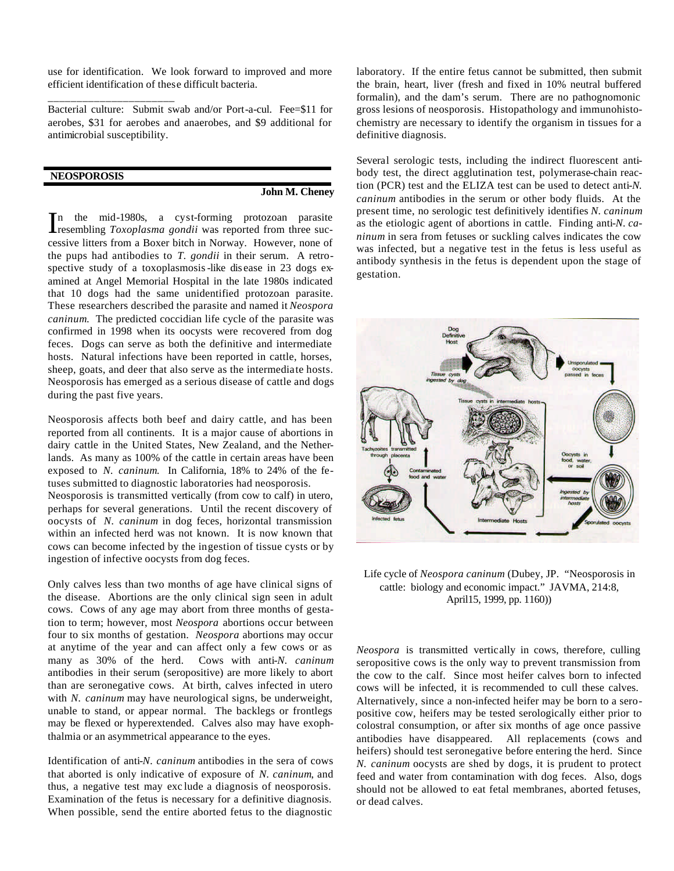use for identification. We look forward to improved and more efficient identification of these difficult bacteria.

Bacterial culture: Submit swab and/or Port-a-cul. Fee=\$11 for aerobes, \$31 for aerobes and anaerobes, and \$9 additional for antimicrobial susceptibility.

# **NEOSPOROSIS**

\_\_\_\_\_\_\_\_\_\_\_\_\_\_\_\_\_\_\_\_\_\_

#### **John M. Cheney**

n the mid-1980s, a cyst-forming protozoan parasite In the mid-1980s, a cyst-forming protozoan parasite<br>resembling *Toxoplasma gondii* was reported from three successive litters from a Boxer bitch in Norway. However, none of the pups had antibodies to *T. gondii* in their serum. A retrospective study of a toxoplasmosis-like dis ease in 23 dogs examined at Angel Memorial Hospital in the late 1980s indicated that 10 dogs had the same unidentified protozoan parasite. These researchers described the parasite and named it *Neospora caninum*. The predicted coccidian life cycle of the parasite was confirmed in 1998 when its oocysts were recovered from dog feces. Dogs can serve as both the definitive and intermediate hosts. Natural infections have been reported in cattle, horses, sheep, goats, and deer that also serve as the intermediate hosts. Neosporosis has emerged as a serious disease of cattle and dogs during the past five years.

Neosporosis affects both beef and dairy cattle, and has been reported from all continents. It is a major cause of abortions in dairy cattle in the United States, New Zealand, and the Netherlands. As many as 100% of the cattle in certain areas have been exposed to *N. caninum*. In California, 18% to 24% of the fetuses submitted to diagnostic laboratories had neosporosis. Neosporosis is transmitted vertically (from cow to calf) in utero, perhaps for several generations. Until the recent discovery of oocysts of *N. caninum* in dog feces, horizontal transmission within an infected herd was not known. It is now known that cows can become infected by the ingestion of tissue cysts or by ingestion of infective oocysts from dog feces.

Only calves less than two months of age have clinical signs of the disease. Abortions are the only clinical sign seen in adult cows. Cows of any age may abort from three months of gestation to term; however, most *Neospora* abortions occur between four to six months of gestation. *Neospora* abortions may occur at anytime of the year and can affect only a few cows or as many as 30% of the herd. Cows with anti-*N. caninum* antibodies in their serum (seropositive) are more likely to abort than are seronegative cows. At birth, calves infected in utero with *N. caninum* may have neurological signs, be underweight, unable to stand, or appear normal. The backlegs or frontlegs may be flexed or hyperextended. Calves also may have exophthalmia or an asymmetrical appearance to the eyes.

Identification of anti-*N. caninum* antibodies in the sera of cows that aborted is only indicative of exposure of *N. caninum*, and thus, a negative test may exc lude a diagnosis of neosporosis. Examination of the fetus is necessary for a definitive diagnosis. When possible, send the entire aborted fetus to the diagnostic laboratory. If the entire fetus cannot be submitted, then submit the brain, heart, liver (fresh and fixed in 10% neutral buffered formalin), and the dam's serum. There are no pathognomonic gross lesions of neosporosis. Histopathology and immunohistochemistry are necessary to identify the organism in tissues for a definitive diagnosis.

Several serologic tests, including the indirect fluorescent antibody test, the direct agglutination test, polymerase-chain reaction (PCR) test and the ELIZA test can be used to detect anti-*N. caninum* antibodies in the serum or other body fluids. At the present time, no serologic test definitively identifies *N. caninum* as the etiologic agent of abortions in cattle. Finding anti-*N. caninum* in sera from fetuses or suckling calves indicates the cow was infected, but a negative test in the fetus is less useful as antibody synthesis in the fetus is dependent upon the stage of gestation.



Life cycle of *Neospora caninum* (Dubey, JP. "Neosporosis in cattle: biology and economic impact." JAVMA, 214:8, April15, 1999, pp. 1160))

*Neospora* is transmitted vertically in cows, therefore, culling seropositive cows is the only way to prevent transmission from the cow to the calf. Since most heifer calves born to infected cows will be infected, it is recommended to cull these calves. Alternatively, since a non-infected heifer may be born to a seropositive cow, heifers may be tested serologically either prior to colostral consumption, or after six months of age once passive antibodies have disappeared. All replacements (cows and heifers) should test seronegative before entering the herd. Since *N. caninum* oocysts are shed by dogs, it is prudent to protect feed and water from contamination with dog feces. Also, dogs should not be allowed to eat fetal membranes, aborted fetuses, or dead calves.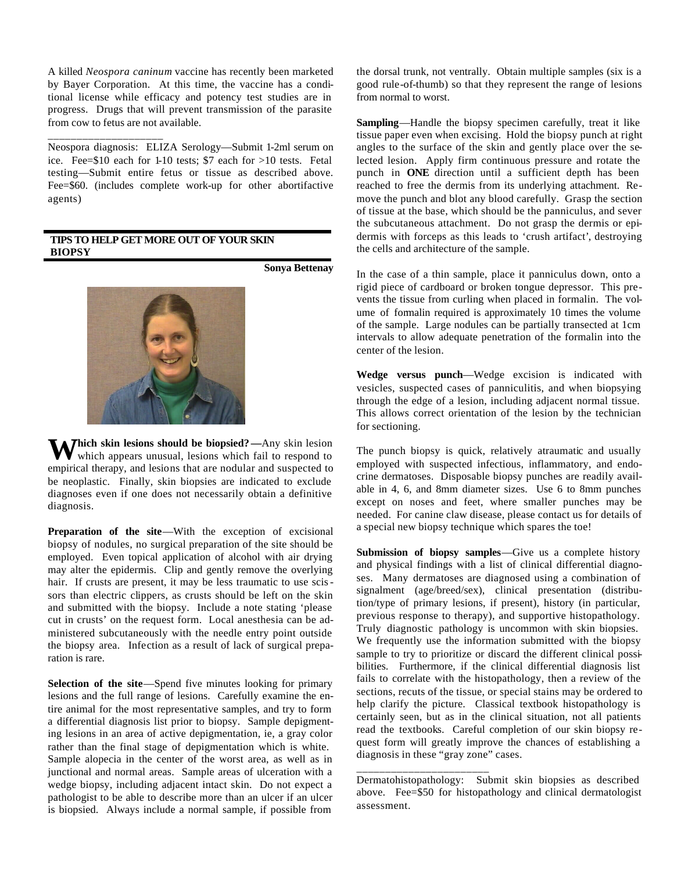A killed *Neospora caninum* vaccine has recently been marketed by Bayer Corporation. At this time, the vaccine has a conditional license while efficacy and potency test studies are in progress. Drugs that will prevent transmission of the parasite from cow to fetus are not available.

Neospora diagnosis: ELIZA Serology—Submit 1-2ml serum on ice. Fee=\$10 each for 1-10 tests; \$7 each for >10 tests. Fetal testing—Submit entire fetus or tissue as described above. Fee=\$60. (includes complete work-up for other abortifactive agents)

# **TIPS TO HELP GET MORE OUT OF YOUR SKIN BIOPSY**

\_\_\_\_\_\_\_\_\_\_\_\_\_\_\_\_\_\_\_\_

**Sonya Bettenay**



Which skin lesions should be biopsied?—Any skin lesion which appears unusual, lesions which fail to respond to which appears unusual, lesions which fail to respond to empirical therapy, and lesions that are nodular and suspected to be neoplastic. Finally, skin biopsies are indicated to exclude diagnoses even if one does not necessarily obtain a definitive diagnosis.

**Preparation of the site**—With the exception of excisional biopsy of nodules, no surgical preparation of the site should be employed. Even topical application of alcohol with air drying may alter the epidermis. Clip and gently remove the overlying hair. If crusts are present, it may be less traumatic to use scissors than electric clippers, as crusts should be left on the skin and submitted with the biopsy. Include a note stating 'please cut in crusts' on the request form. Local anesthesia can be administered subcutaneously with the needle entry point outside the biopsy area. Infection as a result of lack of surgical preparation is rare.

**Selection of the site**—Spend five minutes looking for primary lesions and the full range of lesions. Carefully examine the entire animal for the most representative samples, and try to form a differential diagnosis list prior to biopsy. Sample depigmenting lesions in an area of active depigmentation, ie, a gray color rather than the final stage of depigmentation which is white. Sample alopecia in the center of the worst area, as well as in junctional and normal areas. Sample areas of ulceration with a wedge biopsy, including adjacent intact skin. Do not expect a pathologist to be able to describe more than an ulcer if an ulcer is biopsied. Always include a normal sample, if possible from

the dorsal trunk, not ventrally. Obtain multiple samples (six is a good rule-of-thumb) so that they represent the range of lesions from normal to worst.

**Sampling**—Handle the biopsy specimen carefully, treat it like tissue paper even when excising. Hold the biopsy punch at right angles to the surface of the skin and gently place over the selected lesion. Apply firm continuous pressure and rotate the punch in **ONE** direction until a sufficient depth has been reached to free the dermis from its underlying attachment. Remove the punch and blot any blood carefully. Grasp the section of tissue at the base, which should be the panniculus, and sever the subcutaneous attachment. Do not grasp the dermis or epidermis with forceps as this leads to 'crush artifact', destroying the cells and architecture of the sample.

In the case of a thin sample, place it panniculus down, onto a rigid piece of cardboard or broken tongue depressor. This prevents the tissue from curling when placed in formalin. The volume of formalin required is approximately 10 times the volume of the sample. Large nodules can be partially transected at 1cm intervals to allow adequate penetration of the formalin into the center of the lesion.

**Wedge versus punch**—Wedge excision is indicated with vesicles, suspected cases of panniculitis, and when biopsying through the edge of a lesion, including adjacent normal tissue. This allows correct orientation of the lesion by the technician for sectioning.

The punch biopsy is quick, relatively atraumatic and usually employed with suspected infectious, inflammatory, and endocrine dermatoses. Disposable biopsy punches are readily available in 4, 6, and 8mm diameter sizes. Use 6 to 8mm punches except on noses and feet, where smaller punches may be needed. For canine claw disease, please contact us for details of a special new biopsy technique which spares the toe!

**Submission of biopsy samples**—Give us a complete history and physical findings with a list of clinical differential diagnoses. Many dermatoses are diagnosed using a combination of signalment (age/breed/sex), clinical presentation (distribution/type of primary lesions, if present), history (in particular, previous response to therapy), and supportive histopathology. Truly diagnostic pathology is uncommon with skin biopsies. We frequently use the information submitted with the biopsy sample to try to prioritize or discard the different clinical possibilities. Furthermore, if the clinical differential diagnosis list fails to correlate with the histopathology, then a review of the sections, recuts of the tissue, or special stains may be ordered to help clarify the picture. Classical textbook histopathology is certainly seen, but as in the clinical situation, not all patients read the textbooks. Careful completion of our skin biopsy request form will greatly improve the chances of establishing a diagnosis in these "gray zone" cases.

\_\_\_\_\_\_\_\_\_\_\_\_\_\_\_\_\_\_\_\_\_\_\_

Dermatohistopathology: Submit skin biopsies as described above. Fee=\$50 for histopathology and clinical dermatologist assessment.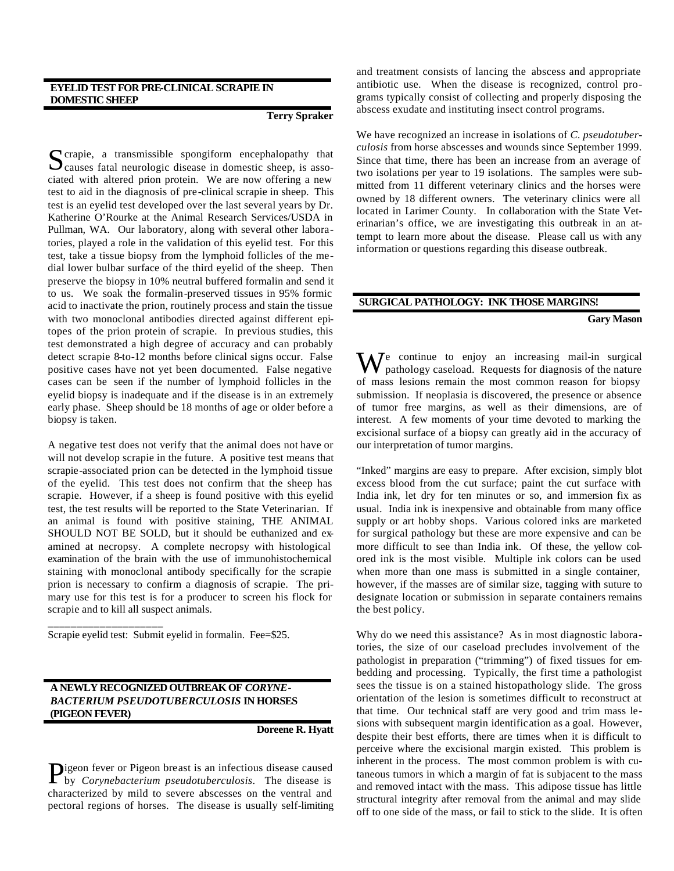# **EYELID TEST FOR PRE-CLINICAL SCRAPIE IN DOMESTIC SHEEP**

#### **Terry Spraker**

crapie, a transmissible spongiform encephalopathy that Scrapie, a transmissible spongiform encephalopathy that<br>Causes fatal neurologic disease in domestic sheep, is associated with altered prion protein. We are now offering a new test to aid in the diagnosis of pre-clinical scrapie in sheep. This test is an eyelid test developed over the last several years by Dr. Katherine O'Rourke at the Animal Research Services/USDA in Pullman, WA. Our laboratory, along with several other laboratories, played a role in the validation of this eyelid test. For this test, take a tissue biopsy from the lymphoid follicles of the medial lower bulbar surface of the third eyelid of the sheep. Then preserve the biopsy in 10% neutral buffered formalin and send it to us. We soak the formalin-preserved tissues in 95% formic acid to inactivate the prion, routinely process and stain the tissue with two monoclonal antibodies directed against different epitopes of the prion protein of scrapie. In previous studies, this test demonstrated a high degree of accuracy and can probably detect scrapie 8-to-12 months before clinical signs occur. False positive cases have not yet been documented. False negative cases can be seen if the number of lymphoid follicles in the eyelid biopsy is inadequate and if the disease is in an extremely early phase. Sheep should be 18 months of age or older before a biopsy is taken.

A negative test does not verify that the animal does not have or will not develop scrapie in the future. A positive test means that scrapie-associated prion can be detected in the lymphoid tissue of the eyelid. This test does not confirm that the sheep has scrapie. However, if a sheep is found positive with this eyelid test, the test results will be reported to the State Veterinarian. If an animal is found with positive staining, THE ANIMAL SHOULD NOT BE SOLD, but it should be euthanized and examined at necropsy. A complete necropsy with histological examination of the brain with the use of immunohistochemical staining with monoclonal antibody specifically for the scrapie prion is necessary to confirm a diagnosis of scrapie. The primary use for this test is for a producer to screen his flock for scrapie and to kill all suspect animals.

Scrapie eyelid test: Submit eyelid in formalin. Fee=\$25.

\_\_\_\_\_\_\_\_\_\_\_\_\_\_\_\_\_\_\_\_

# **A NEWLY RECOGNIZED OUTBREAK OF** *CORYNE-BACTERIUM PSEUDOTUBERCULOSIS* **IN HORSES (PIGEON FEVER)**

**Doreene R. Hyatt**

igeon fever or Pigeon breast is an infectious disease caused **D**igeon fever or Pigeon breast is an infectious disease caused<br>by *Corynebacterium pseudotuberculosis*. The disease is characterized by mild to severe abscesses on the ventral and pectoral regions of horses. The disease is usually self-limiting

and treatment consists of lancing the abscess and appropriate antibiotic use. When the disease is recognized, control programs typically consist of collecting and properly disposing the abscess exudate and instituting insect control programs.

We have recognized an increase in isolations of *C. pseudotuberculosis* from horse abscesses and wounds since September 1999. Since that time, there has been an increase from an average of two isolations per year to 19 isolations. The samples were submitted from 11 different veterinary clinics and the horses were owned by 18 different owners. The veterinary clinics were all located in Larimer County. In collaboration with the State Veterinarian's office, we are investigating this outbreak in an attempt to learn more about the disease. Please call us with any information or questions regarding this disease outbreak.

# **SURGICAL PATHOLOGY: INK THOSE MARGINS!**

# **Gary Mason**

We continue to enjoy an increasing mail-in surgical<br>pathology caseload. Requests for diagnosis of the nature pathology caseload. Requests for diagnosis of the nature of mass lesions remain the most common reason for biopsy submission. If neoplasia is discovered, the presence or absence of tumor free margins, as well as their dimensions, are of interest. A few moments of your time devoted to marking the excisional surface of a biopsy can greatly aid in the accuracy of our interpretation of tumor margins.

"Inked" margins are easy to prepare. After excision, simply blot excess blood from the cut surface; paint the cut surface with India ink, let dry for ten minutes or so, and immersion fix as usual. India ink is inexpensive and obtainable from many office supply or art hobby shops. Various colored inks are marketed for surgical pathology but these are more expensive and can be more difficult to see than India ink. Of these, the yellow colored ink is the most visible. Multiple ink colors can be used when more than one mass is submitted in a single container, however, if the masses are of similar size, tagging with suture to designate location or submission in separate containers remains the best policy.

Why do we need this assistance? As in most diagnostic laboratories, the size of our caseload precludes involvement of the pathologist in preparation ("trimming") of fixed tissues for embedding and processing. Typically, the first time a pathologist sees the tissue is on a stained histopathology slide. The gross orientation of the lesion is sometimes difficult to reconstruct at that time. Our technical staff are very good and trim mass lesions with subsequent margin identification as a goal. However, despite their best efforts, there are times when it is difficult to perceive where the excisional margin existed. This problem is inherent in the process. The most common problem is with cutaneous tumors in which a margin of fat is subjacent to the mass and removed intact with the mass. This adipose tissue has little structural integrity after removal from the animal and may slide off to one side of the mass, or fail to stick to the slide. It is often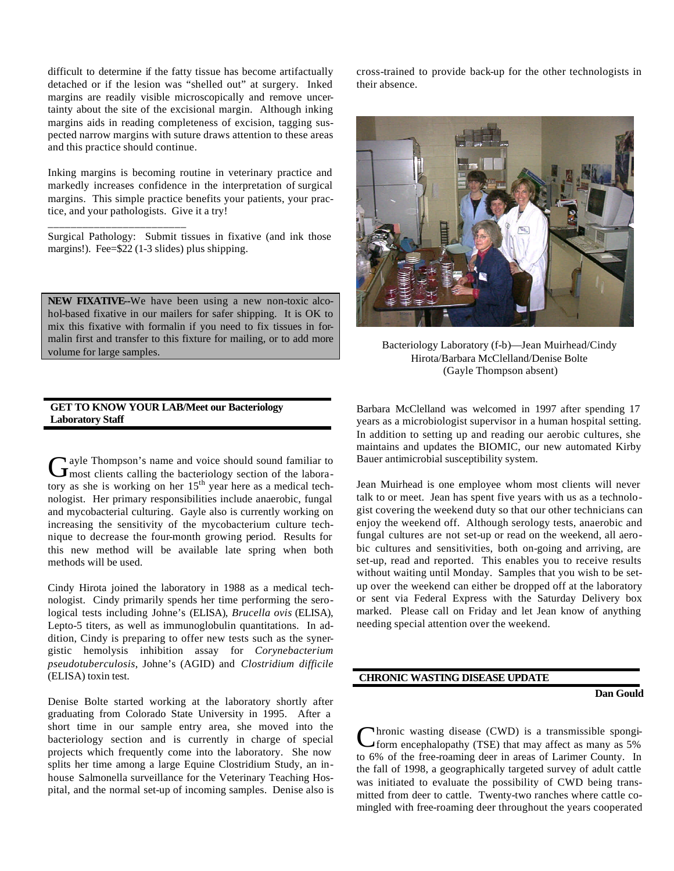difficult to determine if the fatty tissue has become artifactually detached or if the lesion was "shelled out" at surgery. Inked margins are readily visible microscopically and remove uncertainty about the site of the excisional margin. Although inking margins aids in reading completeness of excision, tagging suspected narrow margins with suture draws attention to these areas and this practice should continue.

Inking margins is becoming routine in veterinary practice and markedly increases confidence in the interpretation of surgical margins. This simple practice benefits your patients, your practice, and your pathologists. Give it a try!

Surgical Pathology: Submit tissues in fixative (and ink those margins!). Fee=\$22 (1-3 slides) plus shipping.

\_\_\_\_\_\_\_\_\_\_\_\_\_\_\_\_\_\_\_\_\_\_\_\_

**NEW FIXATIVE--**We have been using a new non-toxic alcohol-based fixative in our mailers for safer shipping. It is OK to mix this fixative with formalin if you need to fix tissues in formalin first and transfer to this fixture for mailing, or to add more volume for large samples.

# **GET TO KNOW YOUR LAB/Meet our Bacteriology Laboratory Staff**

ayle Thompson's name and voice should sound familiar to Gayle Thompson's name and voice should sound familiar to<br>
Imost clients calling the bacteriology section of the laboratory as she is working on her 15<sup>th</sup> year here as a medical technologist. Her primary responsibilities include anaerobic, fungal and mycobacterial culturing. Gayle also is currently working on increasing the sensitivity of the mycobacterium culture technique to decrease the four-month growing period. Results for this new method will be available late spring when both methods will be used.

Cindy Hirota joined the laboratory in 1988 as a medical technologist. Cindy primarily spends her time performing the serological tests including Johne's (ELISA), *Brucella ovis* (ELISA), Lepto-5 titers, as well as immunoglobulin quantitations. In addition, Cindy is preparing to offer new tests such as the synergistic hemolysis inhibition assay for *Corynebacterium pseudotuberculosis*, Johne's (AGID) and *Clostridium difficile* (ELISA) toxin test.

Denise Bolte started working at the laboratory shortly after graduating from Colorado State University in 1995. After a short time in our sample entry area, she moved into the bacteriology section and is currently in charge of special projects which frequently come into the laboratory. She now splits her time among a large Equine Clostridium Study, an inhouse Salmonella surveillance for the Veterinary Teaching Hospital, and the normal set-up of incoming samples. Denise also is

cross-trained to provide back-up for the other technologists in their absence.



Bacteriology Laboratory (f-b)—Jean Muirhead/Cindy Hirota/Barbara McClelland/Denise Bolte (Gayle Thompson absent)

Barbara McClelland was welcomed in 1997 after spending 17 years as a microbiologist supervisor in a human hospital setting. In addition to setting up and reading our aerobic cultures, she maintains and updates the BIOMIC, our new automated Kirby Bauer antimicrobial susceptibility system.

Jean Muirhead is one employee whom most clients will never talk to or meet. Jean has spent five years with us as a technologist covering the weekend duty so that our other technicians can enjoy the weekend off. Although serology tests, anaerobic and fungal cultures are not set-up or read on the weekend, all aerobic cultures and sensitivities, both on-going and arriving, are set-up, read and reported. This enables you to receive results without waiting until Monday. Samples that you wish to be setup over the weekend can either be dropped off at the laboratory or sent via Federal Express with the Saturday Delivery box marked. Please call on Friday and let Jean know of anything needing special attention over the weekend.

# **CHRONIC WASTING DISEASE UPDATE**

#### **Dan Gould**

hronic wasting disease (CWD) is a transmissible spongi-Cform encephalopathy (TSE) that may affect as many as 5% to 6% of the free-roaming deer in areas of Larimer County. In the fall of 1998, a geographically targeted survey of adult cattle was initiated to evaluate the possibility of CWD being transmitted from deer to cattle. Twenty-two ranches where cattle comingled with free-roaming deer throughout the years cooperated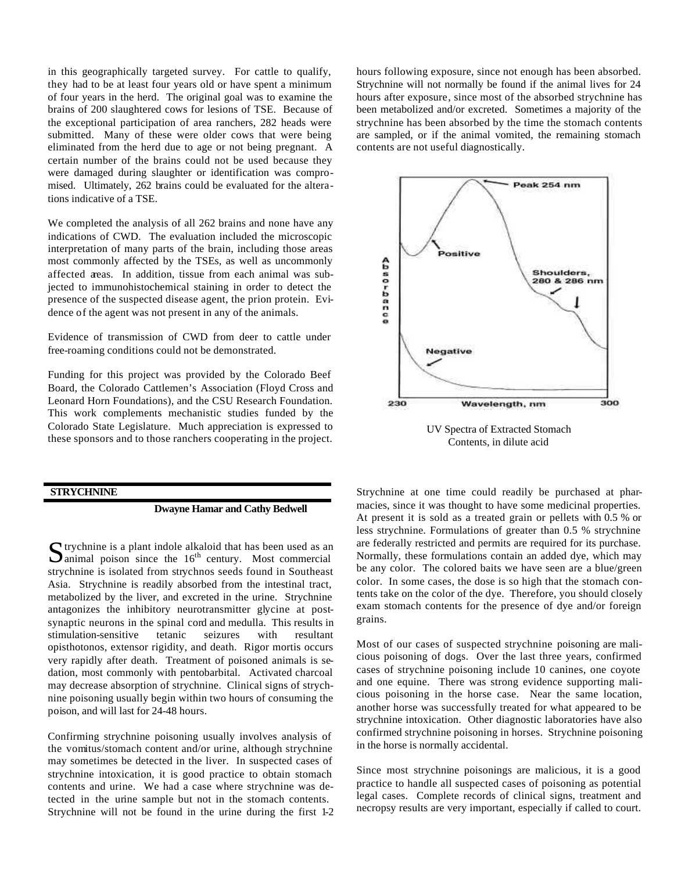in this geographically targeted survey. For cattle to qualify, they had to be at least four years old or have spent a minimum of four years in the herd. The original goal was to examine the brains of 200 slaughtered cows for lesions of TSE. Because of the exceptional participation of area ranchers, 282 heads were submitted. Many of these were older cows that were being eliminated from the herd due to age or not being pregnant. A certain number of the brains could not be used because they were damaged during slaughter or identification was compromised. Ultimately, 262 brains could be evaluated for the alterations indicative of a TSE.

We completed the analysis of all 262 brains and none have any indications of CWD. The evaluation included the microscopic interpretation of many parts of the brain, including those areas most commonly affected by the TSEs, as well as uncommonly affected areas. In addition, tissue from each animal was subjected to immunohistochemical staining in order to detect the presence of the suspected disease agent, the prion protein. Evidence of the agent was not present in any of the animals.

Evidence of transmission of CWD from deer to cattle under free-roaming conditions could not be demonstrated.

Funding for this project was provided by the Colorado Beef Board, the Colorado Cattlemen's Association (Floyd Cross and Leonard Horn Foundations), and the CSU Research Foundation. This work complements mechanistic studies funded by the Colorado State Legislature. Much appreciation is expressed to these sponsors and to those ranchers cooperating in the project.

#### **STRYCHNINE**

#### **Dwayne Hamar and Cathy Bedwell**

 $\Gamma$  trychnine is a plant indole alkaloid that has been used as an  $S$  trychnine is a plant indole alkaloid that has been used as an animal poison since the  $16<sup>th</sup>$  century. Most commercial strychnine is isolated from strychnos seeds found in Southeast Asia. Strychnine is readily absorbed from the intestinal tract, metabolized by the liver, and excreted in the urine. Strychnine antagonizes the inhibitory neurotransmitter glycine at postsynaptic neurons in the spinal cord and medulla. This results in stimulation-sensitive tetanic seizures with resultant opisthotonos, extensor rigidity, and death. Rigor mortis occurs very rapidly after death. Treatment of poisoned animals is sedation, most commonly with pentobarbital. Activated charcoal may decrease absorption of strychnine. Clinical signs of strychnine poisoning usually begin within two hours of consuming the poison, and will last for 24-48 hours.

Confirming strychnine poisoning usually involves analysis of the vomitus/stomach content and/or urine, although strychnine may sometimes be detected in the liver. In suspected cases of strychnine intoxication, it is good practice to obtain stomach contents and urine. We had a case where strychnine was detected in the urine sample but not in the stomach contents. Strychnine will not be found in the urine during the first 1-2 hours following exposure, since not enough has been absorbed. Strychnine will not normally be found if the animal lives for 24 hours after exposure, since most of the absorbed strychnine has been metabolized and/or excreted. Sometimes a majority of the strychnine has been absorbed by the time the stomach contents are sampled, or if the animal vomited, the remaining stomach contents are not useful diagnostically.



Strychnine at one time could readily be purchased at pharmacies, since it was thought to have some medicinal properties. At present it is sold as a treated grain or pellets with 0.5 % or less strychnine. Formulations of greater than 0.5 % strychnine are federally restricted and permits are required for its purchase. Normally, these formulations contain an added dye, which may be any color. The colored baits we have seen are a blue/green color. In some cases, the dose is so high that the stomach contents take on the color of the dye. Therefore, you should closely exam stomach contents for the presence of dye and/or foreign grains.

Most of our cases of suspected strychnine poisoning are malicious poisoning of dogs. Over the last three years, confirmed cases of strychnine poisoning include 10 canines, one coyote and one equine. There was strong evidence supporting malicious poisoning in the horse case. Near the same location, another horse was successfully treated for what appeared to be strychnine intoxication. Other diagnostic laboratories have also confirmed strychnine poisoning in horses. Strychnine poisoning in the horse is normally accidental.

Since most strychnine poisonings are malicious, it is a good practice to handle all suspected cases of poisoning as potential legal cases. Complete records of clinical signs, treatment and necropsy results are very important, especially if called to court.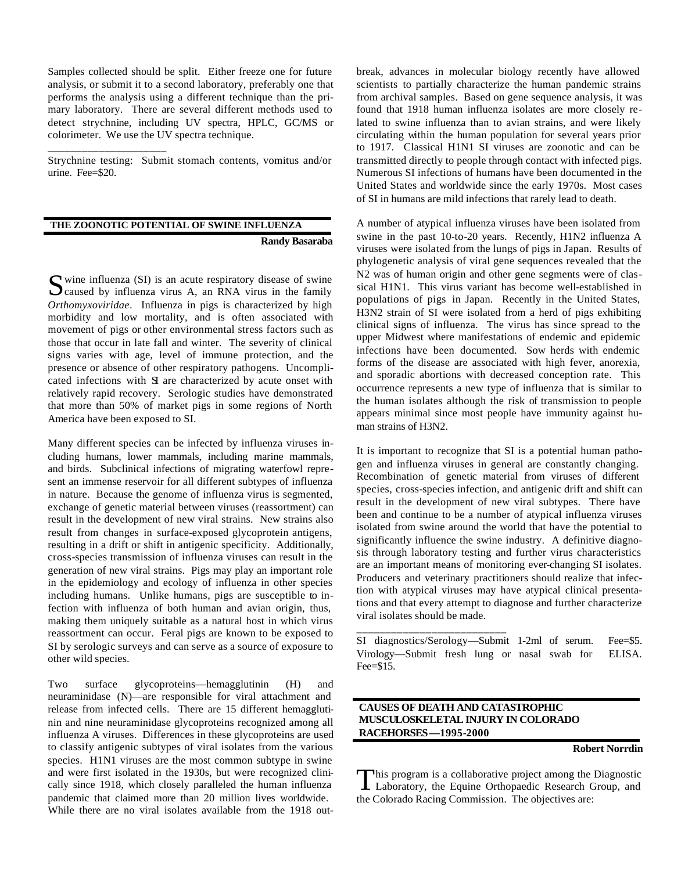Samples collected should be split. Either freeze one for future analysis, or submit it to a second laboratory, preferably one that performs the analysis using a different technique than the primary laboratory. There are several different methods used to detect strychnine, including UV spectra, HPLC, GC/MS or colorimeter. We use the UV spectra technique.

Strychnine testing: Submit stomach contents, vomitus and/or urine. Fee=\$20.

\_\_\_\_\_\_\_\_\_\_\_\_\_\_\_\_\_\_\_\_\_

# **THE ZOONOTIC POTENTIAL OF SWINE INFLUENZA Randy Basaraba**

 $\bigcap$  wine influenza (SI) is an acute respiratory disease of swine Solvine influenza (SI) is an acute respiratory disease of swine Caused by influenza virus A, an RNA virus in the family *Orthomyxoviridae*. Influenza in pigs is characterized by high morbidity and low mortality, and is often associated with movement of pigs or other environmental stress factors such as those that occur in late fall and winter. The severity of clinical signs varies with age, level of immune protection, and the presence or absence of other respiratory pathogens. Uncomplicated infections with SI are characterized by acute onset with relatively rapid recovery. Serologic studies have demonstrated that more than 50% of market pigs in some regions of North America have been exposed to SI.

Many different species can be infected by influenza viruses including humans, lower mammals, including marine mammals, and birds. Subclinical infections of migrating waterfowl represent an immense reservoir for all different subtypes of influenza in nature. Because the genome of influenza virus is segmented, exchange of genetic material between viruses (reassortment) can result in the development of new viral strains. New strains also result from changes in surface-exposed glycoprotein antigens, resulting in a drift or shift in antigenic specificity. Additionally, cross-species transmission of influenza viruses can result in the generation of new viral strains. Pigs may play an important role in the epidemiology and ecology of influenza in other species including humans. Unlike humans, pigs are susceptible to infection with influenza of both human and avian origin, thus, making them uniquely suitable as a natural host in which virus reassortment can occur. Feral pigs are known to be exposed to SI by serologic surveys and can serve as a source of exposure to other wild species.

Two surface glycoproteins—hemagglutinin (H) and neuraminidase (N)—are responsible for viral attachment and release from infected cells. There are 15 different hemagglutinin and nine neuraminidase glycoproteins recognized among all influenza A viruses. Differences in these glycoproteins are used to classify antigenic subtypes of viral isolates from the various species. H1N1 viruses are the most common subtype in swine and were first isolated in the 1930s, but were recognized clinically since 1918, which closely paralleled the human influenza pandemic that claimed more than 20 million lives worldwide. While there are no viral isolates available from the 1918 outbreak, advances in molecular biology recently have allowed scientists to partially characterize the human pandemic strains from archival samples. Based on gene sequence analysis, it was found that 1918 human influenza isolates are more closely related to swine influenza than to avian strains, and were likely circulating within the human population for several years prior to 1917. Classical H1N1 SI viruses are zoonotic and can be transmitted directly to people through contact with infected pigs. Numerous SI infections of humans have been documented in the United States and worldwide since the early 1970s. Most cases of SI in humans are mild infections that rarely lead to death.

A number of atypical influenza viruses have been isolated from swine in the past 10-to-20 years. Recently, H1N2 influenza A viruses were isolated from the lungs of pigs in Japan. Results of phylogenetic analysis of viral gene sequences revealed that the N2 was of human origin and other gene segments were of classical H1N1. This virus variant has become well-established in populations of pigs in Japan. Recently in the United States, H3N2 strain of SI were isolated from a herd of pigs exhibiting clinical signs of influenza. The virus has since spread to the upper Midwest where manifestations of endemic and epidemic infections have been documented. Sow herds with endemic forms of the disease are associated with high fever, anorexia, and sporadic abortions with decreased conception rate. This occurrence represents a new type of influenza that is similar to the human isolates although the risk of transmission to people appears minimal since most people have immunity against human strains of H3N2.

It is important to recognize that SI is a potential human pathogen and influenza viruses in general are constantly changing. Recombination of genetic material from viruses of different species, cross-species infection, and antigenic drift and shift can result in the development of new viral subtypes. There have been and continue to be a number of atypical influenza viruses isolated from swine around the world that have the potential to significantly influence the swine industry. A definitive diagnosis through laboratory testing and further virus characteristics are an important means of monitoring ever-changing SI isolates. Producers and veterinary practitioners should realize that infection with atypical viruses may have atypical clinical presentations and that every attempt to diagnose and further characterize viral isolates should be made.

SI diagnostics/Serology—Submit 1-2ml of serum. Fee=\$5. Virology—Submit fresh lung or nasal swab for ELISA. Fee=\$15.

# **CAUSES OF DEATH AND CATASTROPHIC MUSCULOSKELETAL INJURY IN COLORADO RACEHORSES—1995-2000**

\_\_\_\_\_\_\_\_\_\_\_\_\_\_\_\_\_\_\_\_\_\_\_\_\_\_

#### **Robert Norrdin**

This program is a collaborative project among the Diagnostic Laboratory, the Equine Orthopaedic Research Group, and Laboratory, the Equine Orthopaedic Research Group, and the Colorado Racing Commission. The objectives are: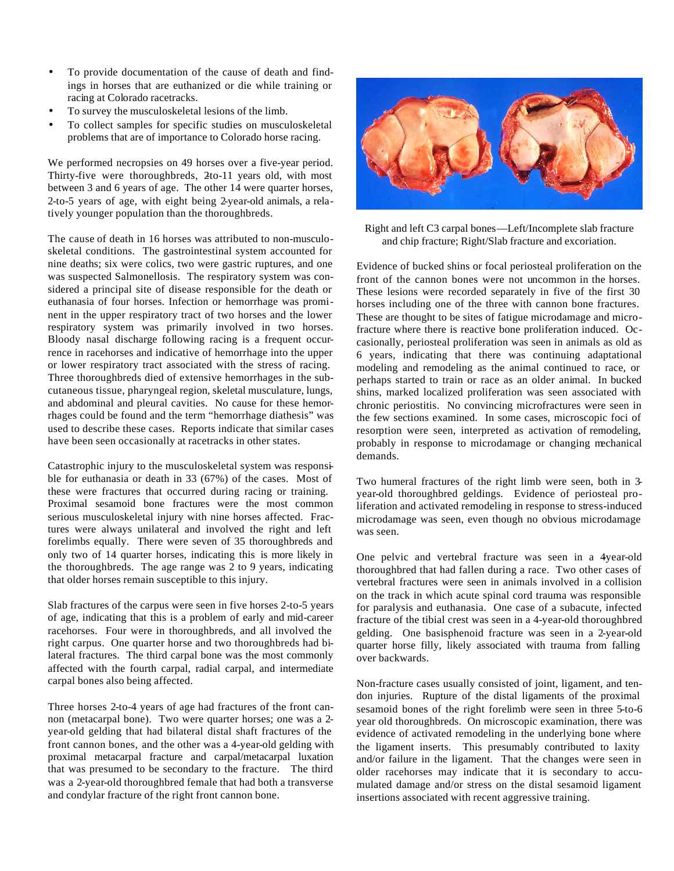- To provide documentation of the cause of death and findings in horses that are euthanized or die while training or racing at Colorado racetracks.
- To survey the musculoskeletal lesions of the limb.
- To collect samples for specific studies on musculoskeletal problems that are of importance to Colorado horse racing.

We performed necropsies on 49 horses over a five-year period. Thirty-five were thoroughbreds, 2to-11 years old, with most between 3 and 6 years of age. The other 14 were quarter horses, 2-to-5 years of age, with eight being 2-year-old animals, a relatively younger population than the thoroughbreds.

The cause of death in 16 horses was attributed to non-musculoskeletal conditions. The gastrointestinal system accounted for nine deaths; six were colics, two were gastric ruptures, and one was suspected Salmonellosis. The respiratory system was considered a principal site of disease responsible for the death or euthanasia of four horses. Infection or hemorrhage was prominent in the upper respiratory tract of two horses and the lower respiratory system was primarily involved in two horses. Bloody nasal discharge following racing is a frequent occurrence in racehorses and indicative of hemorrhage into the upper or lower respiratory tract associated with the stress of racing. Three thoroughbreds died of extensive hemorrhages in the subcutaneous tissue, pharyngeal region, skeletal musculature, lungs, and abdominal and pleural cavities. No cause for these hemorrhages could be found and the term "hemorrhage diathesis" was used to describe these cases. Reports indicate that similar cases have been seen occasionally at racetracks in other states.

Catastrophic injury to the musculoskeletal system was responsible for euthanasia or death in 33 (67%) of the cases. Most of these were fractures that occurred during racing or training. Proximal sesamoid bone fractures were the most common serious musculoskeletal injury with nine horses affected. Fractures were always unilateral and involved the right and left forelimbs equally. There were seven of 35 thoroughbreds and only two of 14 quarter horses, indicating this is more likely in the thoroughbreds. The age range was 2 to 9 years, indicating that older horses remain susceptible to this injury.

Slab fractures of the carpus were seen in five horses 2-to-5 years of age, indicating that this is a problem of early and mid-career racehorses. Four were in thoroughbreds, and all involved the right carpus. One quarter horse and two thoroughbreds had bilateral fractures. The third carpal bone was the most commonly affected with the fourth carpal, radial carpal, and intermediate carpal bones also being affected.

Three horses 2-to-4 years of age had fractures of the front cannon (metacarpal bone). Two were quarter horses; one was a 2 year-old gelding that had bilateral distal shaft fractures of the front cannon bones, and the other was a 4-year-old gelding with proximal metacarpal fracture and carpal/metacarpal luxation that was presumed to be secondary to the fracture. The third was a 2-year-old thoroughbred female that had both a transverse and condylar fracture of the right front cannon bone.



Right and left C3 carpal bones—Left/Incomplete slab fracture and chip fracture; Right/Slab fracture and excoriation.

Evidence of bucked shins or focal periosteal proliferation on the front of the cannon bones were not uncommon in the horses. These lesions were recorded separately in five of the first 30 horses including one of the three with cannon bone fractures. These are thought to be sites of fatigue microdamage and microfracture where there is reactive bone proliferation induced. Occasionally, periosteal proliferation was seen in animals as old as 6 years, indicating that there was continuing adaptational modeling and remodeling as the animal continued to race, or perhaps started to train or race as an older animal. In bucked shins, marked localized proliferation was seen associated with chronic periostitis. No convincing microfractures were seen in the few sections examined. In some cases, microscopic foci of resorption were seen, interpreted as activation of remodeling, probably in response to microdamage or changing mechanical demands.

Two humeral fractures of the right limb were seen, both in 3 year-old thoroughbred geldings. Evidence of periosteal proliferation and activated remodeling in response to stress-induced microdamage was seen, even though no obvious microdamage was seen.

One pelvic and vertebral fracture was seen in a 4year-old thoroughbred that had fallen during a race. Two other cases of vertebral fractures were seen in animals involved in a collision on the track in which acute spinal cord trauma was responsible for paralysis and euthanasia. One case of a subacute, infected fracture of the tibial crest was seen in a 4-year-old thoroughbred gelding. One basisphenoid fracture was seen in a 2-year-old quarter horse filly, likely associated with trauma from falling over backwards.

Non-fracture cases usually consisted of joint, ligament, and tendon injuries. Rupture of the distal ligaments of the proximal sesamoid bones of the right forelimb were seen in three 5-to-6 year old thoroughbreds. On microscopic examination, there was evidence of activated remodeling in the underlying bone where the ligament inserts. This presumably contributed to laxity and/or failure in the ligament. That the changes were seen in older racehorses may indicate that it is secondary to accumulated damage and/or stress on the distal sesamoid ligament insertions associated with recent aggressive training.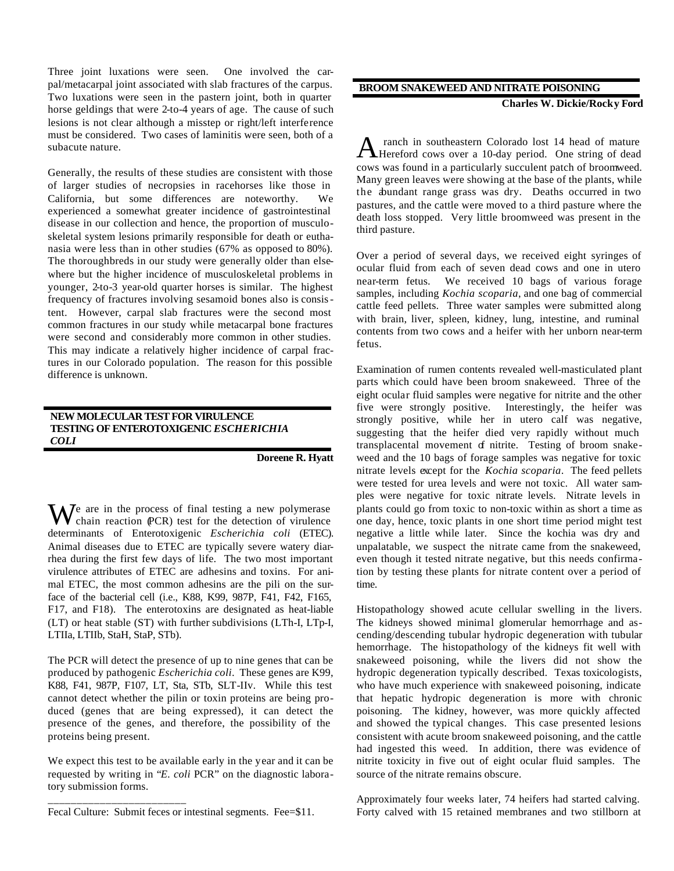Three joint luxations were seen. One involved the carpal/metacarpal joint associated with slab fractures of the carpus. Two luxations were seen in the pastern joint, both in quarter horse geldings that were 2-to-4 years of age. The cause of such lesions is not clear although a misstep or right/left interference must be considered. Two cases of laminitis were seen, both of a subacute nature.

Generally, the results of these studies are consistent with those of larger studies of necropsies in racehorses like those in California, but some differences are noteworthy. We experienced a somewhat greater incidence of gastrointestinal disease in our collection and hence, the proportion of musculoskeletal system lesions primarily responsible for death or euthanasia were less than in other studies (67% as opposed to 80%). The thoroughbreds in our study were generally older than elsewhere but the higher incidence of musculoskeletal problems in younger, 2-to-3 year-old quarter horses is similar. The highest frequency of fractures involving sesamoid bones also is consistent. However, carpal slab fractures were the second most common fractures in our study while metacarpal bone fractures were second and considerably more common in other studies. This may indicate a relatively higher incidence of carpal fractures in our Colorado population. The reason for this possible difference is unknown.

# **NEW MOLECULAR TEST FOR VIRULENCE TESTING OF ENTEROTOXIGENIC** *ESCHERICHIA COLI*

#### **Doreene R. Hyatt**

We are in the process of final testing a new polymerase<br>chain reaction (PCR) test for the detection of virulence chain reaction (PCR) test for the detection of virulence determinants of Enterotoxigenic *Escherichia coli* (ETEC). Animal diseases due to ETEC are typically severe watery diarrhea during the first few days of life. The two most important virulence attributes of ETEC are adhesins and toxins. For animal ETEC, the most common adhesins are the pili on the surface of the bacterial cell (i.e., K88, K99, 987P, F41, F42, F165, F17, and F18). The enterotoxins are designated as heat-liable (LT) or heat stable (ST) with further subdivisions (LTh-I, LTp-I, LTIIa, LTIIb, StaH, StaP, STb).

The PCR will detect the presence of up to nine genes that can be produced by pathogenic *Escherichia coli*. These genes are K99, K88, F41, 987P, F107, LT, Sta, STb, SLT-IIv. While this test cannot detect whether the pilin or toxin proteins are being produced (genes that are being expressed), it can detect the presence of the genes, and therefore, the possibility of the proteins being present.

We expect this test to be available early in the year and it can be requested by writing in "*E. coli* PCR" on the diagnostic laboratory submission forms.

\_\_\_\_\_\_\_\_\_\_\_\_\_\_\_\_\_\_\_\_\_\_\_\_

# **BROOM SNAKEWEED AND NITRATE POISONING**

**Charles W. Dickie/Rocky Ford**

 ranch in southeastern Colorado lost 14 head of mature A ranch in southeastern Colorado lost 14 head of mature<br>Hereford cows over a 10-day period. One string of dead cows was found in a particularly succulent patch of broomweed. Many green leaves were showing at the base of the plants, while the abundant range grass was dry. Deaths occurred in two pastures, and the cattle were moved to a third pasture where the death loss stopped. Very little broomweed was present in the third pasture.

Over a period of several days, we received eight syringes of ocular fluid from each of seven dead cows and one in utero near-term fetus. We received 10 bags of various forage samples, including *Kochia scoparia*, and one bag of commercial cattle feed pellets. Three water samples were submitted along with brain, liver, spleen, kidney, lung, intestine, and ruminal contents from two cows and a heifer with her unborn near-term fetus.

Examination of rumen contents revealed well-masticulated plant parts which could have been broom snakeweed. Three of the eight ocular fluid samples were negative for nitrite and the other five were strongly positive. Interestingly, the heifer was strongly positive, while her in utero calf was negative, suggesting that the heifer died very rapidly without much transplacental movement of nitrite. Testing of broom snakeweed and the 10 bags of forage samples was negative for toxic nitrate levels except for the *Kochia scoparia*. The feed pellets were tested for urea levels and were not toxic. All water samples were negative for toxic nitrate levels. Nitrate levels in plants could go from toxic to non-toxic within as short a time as one day, hence, toxic plants in one short time period might test negative a little while later. Since the kochia was dry and unpalatable, we suspect the nitrate came from the snakeweed, even though it tested nitrate negative, but this needs confirmation by testing these plants for nitrate content over a period of time.

Histopathology showed acute cellular swelling in the livers. The kidneys showed minimal glomerular hemorrhage and ascending/descending tubular hydropic degeneration with tubular hemorrhage. The histopathology of the kidneys fit well with snakeweed poisoning, while the livers did not show the hydropic degeneration typically described. Texas toxicologists, who have much experience with snakeweed poisoning, indicate that hepatic hydropic degeneration is more with chronic poisoning. The kidney, however, was more quickly affected and showed the typical changes. This case presented lesions consistent with acute broom snakeweed poisoning, and the cattle had ingested this weed. In addition, there was evidence of nitrite toxicity in five out of eight ocular fluid samples. The source of the nitrate remains obscure.

Approximately four weeks later, 74 heifers had started calving. Forty calved with 15 retained membranes and two stillborn at

Fecal Culture: Submit feces or intestinal segments. Fee=\$11.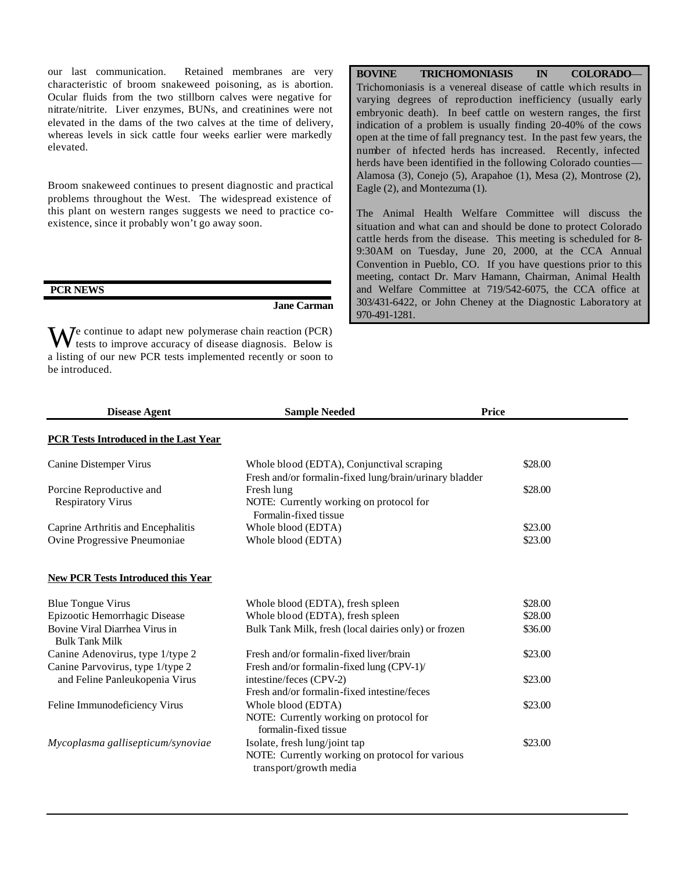our last communication. Retained membranes are very characteristic of broom snakeweed poisoning, as is abortion. Ocular fluids from the two stillborn calves were negative for nitrate/nitrite. Liver enzymes, BUNs, and creatinines were not elevated in the dams of the two calves at the time of delivery, whereas levels in sick cattle four weeks earlier were markedly elevated.

Broom snakeweed continues to present diagnostic and practical problems throughout the West. The widespread existence of this plant on western ranges suggests we need to practice coexistence, since it probably won't go away soon.

#### **PCR NEWS**

**Jane Carman**

We continue to adapt new polymerase chain reaction (PCR) tests to improve accuracy of disease diagnosis. Below is tests to improve accuracy of disease diagnosis. Below is a listing of our new PCR tests implemented recently or soon to be introduced.

**BOVINE TRICHOMONIASIS IN COLORADO**— Trichomoniasis is a venereal disease of cattle which results in varying degrees of reproduction inefficiency (usually early embryonic death). In beef cattle on western ranges, the first indication of a problem is usually finding 20-40% of the cows open at the time of fall pregnancy test. In the past few years, the number of infected herds has increased. Recently, infected herds have been identified in the following Colorado counties— Alamosa (3), Conejo (5), Arapahoe (1), Mesa (2), Montrose (2), Eagle (2), and Montezuma (1).

The Animal Health Welfare Committee will discuss the situation and what can and should be done to protect Colorado cattle herds from the disease. This meeting is scheduled for 8- 9:30AM on Tuesday, June 20, 2000, at the CCA Annual Convention in Pueblo, CO. If you have questions prior to this meeting, contact Dr. Marv Hamann, Chairman, Animal Health and Welfare Committee at 719/542-6075, the CCA office at 303/431-6422, or John Cheney at the Diagnostic Laboratory at 970-491-1281.

| <b>Disease Agent</b>                                                 | <b>Sample Needed</b>                                                                                       | <b>Price</b>       |
|----------------------------------------------------------------------|------------------------------------------------------------------------------------------------------------|--------------------|
| <b>PCR Tests Introduced in the Last Year</b>                         |                                                                                                            |                    |
| Canine Distemper Virus                                               | Whole blood (EDTA), Conjunctival scraping<br>Fresh and/or formalin-fixed lung/brain/urinary bladder        | \$28.00            |
| Porcine Reproductive and<br><b>Respiratory Virus</b>                 | Fresh lung<br>NOTE: Currently working on protocol for<br>Formalin-fixed tissue                             | \$28.00            |
| Caprine Arthritis and Encephalitis<br>Ovine Progressive Pneumoniae   | Whole blood (EDTA)<br>Whole blood (EDTA)                                                                   | \$23.00<br>\$23.00 |
| <b>New PCR Tests Introduced this Year</b>                            |                                                                                                            |                    |
| <b>Blue Tongue Virus</b>                                             | Whole blood (EDTA), fresh spleen                                                                           | \$28.00            |
| Epizootic Hemorrhagic Disease                                        | Whole blood (EDTA), fresh spleen                                                                           | \$28.00            |
| Bovine Viral Diarrhea Virus in<br><b>Bulk Tank Milk</b>              | Bulk Tank Milk, fresh (local dairies only) or frozen                                                       | \$36.00            |
| Canine Adenovirus, type 1/type 2<br>Canine Parvovirus, type 1/type 2 | Fresh and/or formalin-fixed liver/brain<br>Fresh and/or formalin-fixed lung (CPV-1)/                       | \$23.00            |
| and Feline Panleukopenia Virus                                       | intestine/feces (CPV-2)<br>Fresh and/or formalin-fixed intestine/feces                                     | \$23.00            |
| Feline Immunodeficiency Virus                                        | Whole blood (EDTA)<br>NOTE: Currently working on protocol for<br>formalin-fixed tissue                     | \$23.00            |
| Mycoplasma gallisepticum/synoviae                                    | Isolate, fresh lung/joint tap<br>NOTE: Currently working on protocol for various<br>transport/growth media | \$23.00            |